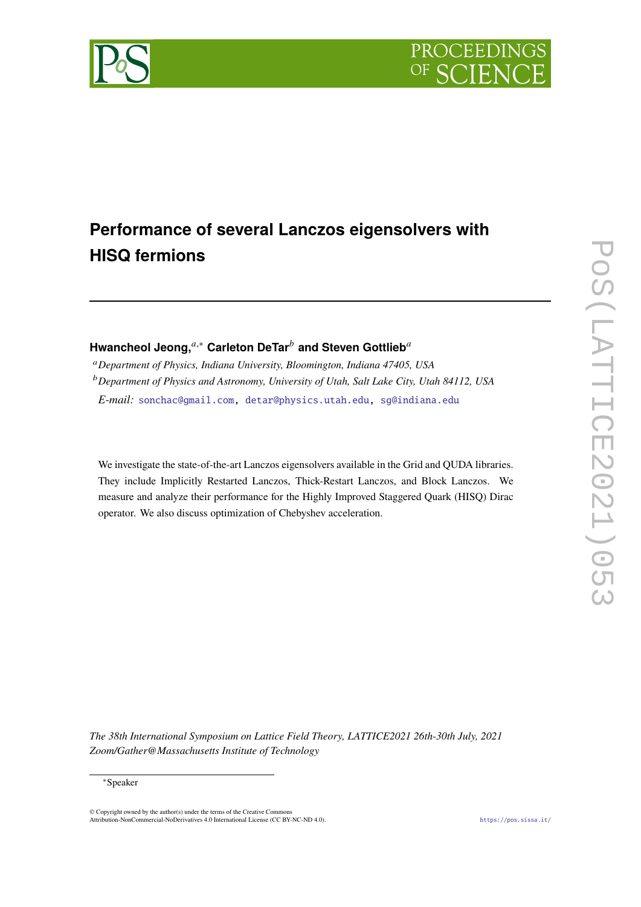

# **Performance of several Lanczos eigensolvers with HISQ fermions**

# Hwancheol Jeong,<sup>*a*,∗</sup> Carleton DeTar<sup>*b*</sup> and Steven Gottlieb<sup>*a*</sup>

*Department of Physics, Indiana University, Bloomington, Indiana 47405, USA Department of Physics and Astronomy, University of Utah, Salt Lake City, Utah 84112, USA E-mail:* [sonchac@gmail.com,](mailto:sonchac@gmail.com) [detar@physics.utah.edu,](mailto:detar@physics.utah.edu) [sg@indiana.edu](mailto:sg@indiana.edu)

We investigate the state-of-the-art Lanczos eigensolvers available in the Grid and QUDA libraries. They include Implicitly Restarted Lanczos, Thick-Restart Lanczos, and Block Lanczos. We measure and analyze their performance for the Highly Improved Staggered Quark (HISQ) Dirac operator. We also discuss optimization of Chebyshev acceleration.

*The 38th International Symposium on Lattice Field Theory, LATTICE2021 26th-30th July, 2021 Zoom/Gather@Massachusetts Institute of Technology*

#### ∗Speaker

© Copyright owned by the author(s) under the terms of the Creative Commons Attribution-NonCommercial-NoDerivatives 4.0 International License (CC BY-NC-ND 4.0). <https://pos.sissa.it/>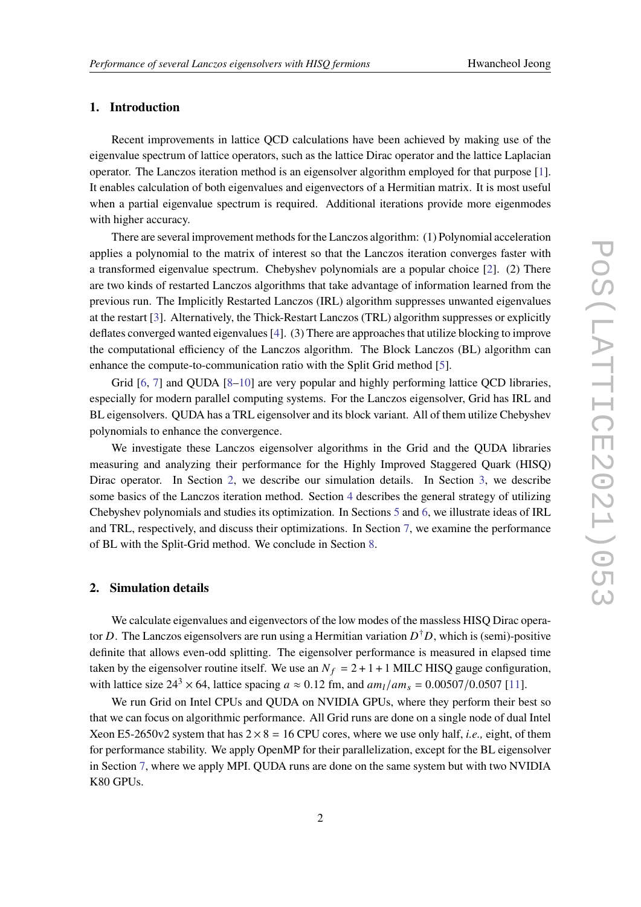# **1. Introduction**

Recent improvements in lattice QCD calculations have been achieved by making use of the eigenvalue spectrum of lattice operators, such as the lattice Dirac operator and the lattice Laplacian operator. The Lanczos iteration method is an eigensolver algorithm employed for that purpose [\[1\]](#page-8-0). It enables calculation of both eigenvalues and eigenvectors of a Hermitian matrix. It is most useful when a partial eigenvalue spectrum is required. Additional iterations provide more eigenmodes with higher accuracy.

There are several improvement methods for the Lanczos algorithm: (1) Polynomial acceleration applies a polynomial to the matrix of interest so that the Lanczos iteration converges faster with a transformed eigenvalue spectrum. Chebyshev polynomials are a popular choice [\[2\]](#page-8-1). (2) There are two kinds of restarted Lanczos algorithms that take advantage of information learned from the previous run. The Implicitly Restarted Lanczos (IRL) algorithm suppresses unwanted eigenvalues at the restart [\[3\]](#page-8-2). Alternatively, the Thick-Restart Lanczos (TRL) algorithm suppresses or explicitly deflates converged wanted eigenvalues [\[4\]](#page-8-3). (3) There are approaches that utilize blocking to improve the computational efficiency of the Lanczos algorithm. The Block Lanczos (BL) algorithm can enhance the compute-to-communication ratio with the Split Grid method [\[5\]](#page-8-4).

Grid [\[6,](#page-8-5) [7\]](#page-8-6) and QUDA [\[8](#page-8-7)[–10\]](#page-8-8) are very popular and highly performing lattice QCD libraries, especially for modern parallel computing systems. For the Lanczos eigensolver, Grid has IRL and BL eigensolvers. QUDA has a TRL eigensolver and its block variant. All of them utilize Chebyshev polynomials to enhance the convergence.

We investigate these Lanczos eigensolver algorithms in the Grid and the QUDA libraries measuring and analyzing their performance for the Highly Improved Staggered Quark (HISQ) Dirac operator. In Section [2,](#page-1-0) we describe our simulation details. In Section [3,](#page-2-0) we describe some basics of the Lanczos iteration method. Section [4](#page-2-1) describes the general strategy of utilizing Chebyshev polynomials and studies its optimization. In Sections [5](#page-4-0) and [6,](#page-5-0) we illustrate ideas of IRL and TRL, respectively, and discuss their optimizations. In Section [7,](#page-7-0) we examine the performance of BL with the Split-Grid method. We conclude in Section [8.](#page-7-1)

# <span id="page-1-0"></span>**2. Simulation details**

We calculate eigenvalues and eigenvectors of the low modes of the massless HISQ Dirac operator D. The Lanczos eigensolvers are run using a Hermitian variation  $D^{\dagger}D$ , which is (semi)-positive definite that allows even-odd splitting. The eigensolver performance is measured in elapsed time taken by the eigensolver routine itself. We use an  $N_f = 2 + 1 + 1$  MILC HISQ gauge configuration, with lattice size  $24^3 \times 64$ , lattice spacing  $a \approx 0.12$  fm, and  $am_l / am_s = 0.00507/0.0507$  [\[11\]](#page-8-9).

We run Grid on Intel CPUs and QUDA on NVIDIA GPUs, where they perform their best so that we can focus on algorithmic performance. All Grid runs are done on a single node of dual Intel Xeon E5-2650v2 system that has  $2 \times 8 = 16$  CPU cores, where we use only half, *i.e.*, eight, of them for performance stability. We apply OpenMP for their parallelization, except for the BL eigensolver in Section [7,](#page-7-0) where we apply MPI. QUDA runs are done on the same system but with two NVIDIA K80 GPUs.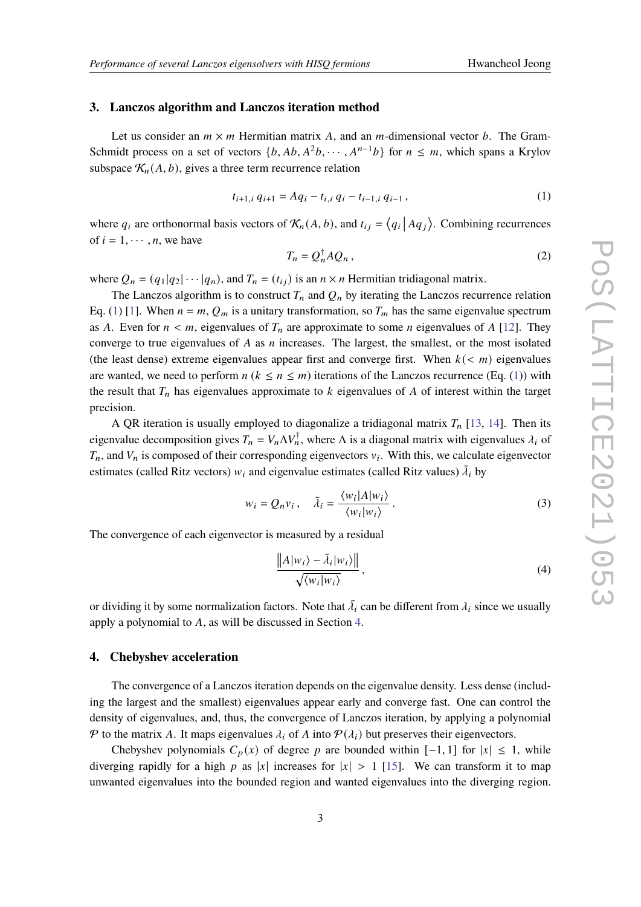# <span id="page-2-0"></span>**3. Lanczos algorithm and Lanczos iteration method**

Let us consider an  $m \times m$  Hermitian matrix A, and an m-dimensional vector b. The Gram-Schmidt process on a set of vectors  $\{b, Ab, A^2b, \cdots, A^{n-1}b\}$  for  $n \leq m$ , which spans a Krylov subspace  $\mathcal{K}_n(A, b)$ , gives a three term recurrence relation

<span id="page-2-2"></span>
$$
t_{i+1,i} q_{i+1} = Aq_i - t_{i,i} q_i - t_{i-1,i} q_{i-1}, \qquad (1)
$$

where  $q_i$  are orthonormal basis vectors of  $\mathcal{K}_n(A, b)$ , and  $t_{ij} = \langle q_i | A q_j \rangle$ . Combining recurrences of  $i = 1, \dots, n$ , we have

<span id="page-2-4"></span>
$$
T_n = Q_n^{\dagger} A Q_n, \qquad (2)
$$

where  $Q_n = (q_1|q_2|\cdots|q_n)$ , and  $T_n = (t_{ij})$  is an  $n \times n$  Hermitian tridiagonal matrix.

The Lanczos algorithm is to construct  $T_n$  and  $Q_n$  by iterating the Lanczos recurrence relation Eq. [\(1\)](#page-2-2) [\[1\]](#page-8-0). When  $n = m$ ,  $Q_m$  is a unitary transformation, so  $T_m$  has the same eigenvalue spectrum as A. Even for  $n < m$ , eigenvalues of  $T_n$  are approximate to some *n* eigenvalues of A [\[12\]](#page-8-10). They converge to true eigenvalues of  $A$  as  $n$  increases. The largest, the smallest, or the most isolated (the least dense) extreme eigenvalues appear first and converge first. When  $k \leq m$ ) eigenvalues are wanted, we need to perform  $n (k \le n \le m)$  iterations of the Lanczos recurrence (Eq. [\(1\)](#page-2-2)) with the result that  $T_n$  has eigenvalues approximate to  $k$  eigenvalues of  $A$  of interest within the target precision.

A QR iteration is usually employed to diagonalize a tridiagonal matrix  $T_n$  [\[13,](#page-8-11) [14\]](#page-8-12). Then its eigenvalue decomposition gives  $T_n = V_n \Delta V_n^{\dagger}$ , where  $\Delta$  is a diagonal matrix with eigenvalues  $\lambda_i$  of  $T_n$ , and  $V_n$  is composed of their corresponding eigenvectors  $v_i$ . With this, we calculate eigenvector estimates (called Ritz vectors)  $w_i$  and eigenvalue estimates (called Ritz values)  $\tilde{\lambda}_i$  by

$$
w_i = Q_n v_i, \quad \tilde{\lambda}_i = \frac{\langle w_i | A | w_i \rangle}{\langle w_i | w_i \rangle}.
$$
\n(3)

The convergence of each eigenvector is measured by a residual

<span id="page-2-3"></span>
$$
\frac{\|A|w_i\rangle - \tilde{\lambda}_i|w_i\rangle\|}{\sqrt{\langle w_i|w_i\rangle}},
$$
\n(4)

or dividing it by some normalization factors. Note that  $\tilde{\lambda}_i$  can be different from  $\lambda_i$  since we usually apply a polynomial to  $A$ , as will be discussed in Section [4.](#page-2-1)

# <span id="page-2-1"></span>**4. Chebyshev acceleration**

The convergence of a Lanczos iteration depends on the eigenvalue density. Less dense (including the largest and the smallest) eigenvalues appear early and converge fast. One can control the density of eigenvalues, and, thus, the convergence of Lanczos iteration, by applying a polynomial  $\mathcal P$  to the matrix A. It maps eigenvalues  $\lambda_i$  of A into  $\mathcal P(\lambda_i)$  but preserves their eigenvectors.

Chebyshev polynomials  $C_p(x)$  of degree p are bounded within  $[-1, 1]$  for  $|x| \leq 1$ , while diverging rapidly for a high p as |x| increases for  $|x| > 1$  [\[15\]](#page-8-13). We can transform it to map unwanted eigenvalues into the bounded region and wanted eigenvalues into the diverging region.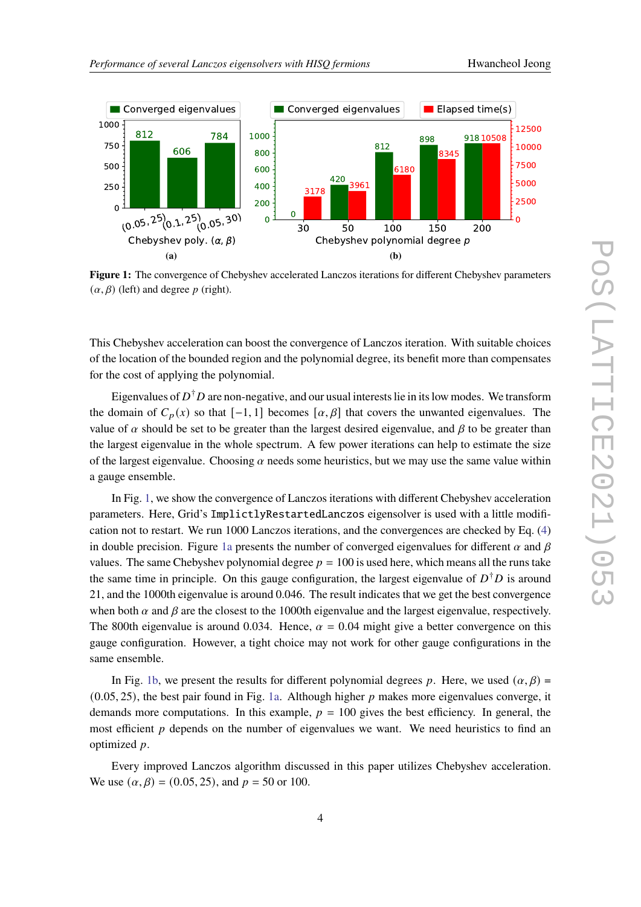<span id="page-3-0"></span>

**Figure 1:** The convergence of Chebyshev accelerated Lanczos iterations for different Chebyshev parameters  $(\alpha, \beta)$  (left) and degree p (right).

This Chebyshev acceleration can boost the convergence of Lanczos iteration. With suitable choices of the location of the bounded region and the polynomial degree, its benefit more than compensates for the cost of applying the polynomial.

Eigenvalues of  $D^{\dagger}D$  are non-negative, and our usual interests lie in its low modes. We transform the domain of  $C_p(x)$  so that  $[-1, 1]$  becomes  $[\alpha, \beta]$  that covers the unwanted eigenvalues. The value of  $\alpha$  should be set to be greater than the largest desired eigenvalue, and  $\beta$  to be greater than the largest eigenvalue in the whole spectrum. A few power iterations can help to estimate the size of the largest eigenvalue. Choosing  $\alpha$  needs some heuristics, but we may use the same value within a gauge ensemble.

In Fig. [1,](#page-3-0) we show the convergence of Lanczos iterations with different Chebyshev acceleration parameters. Here, Grid's ImplictlyRestartedLanczos eigensolver is used with a little modification not to restart. We run 1000 Lanczos iterations, and the convergences are checked by Eq. [\(4\)](#page-2-3) in double precision. Figure [1a](#page-3-0) presents the number of converged eigenvalues for different  $\alpha$  and  $\beta$ values. The same Chebyshev polynomial degree  $p = 100$  is used here, which means all the runs take the same time in principle. On this gauge configuration, the largest eigenvalue of  $D^{\dagger}D$  is around 21, and the 1000th eigenvalue is around 0.046. The result indicates that we get the best convergence when both  $\alpha$  and  $\beta$  are the closest to the 1000th eigenvalue and the largest eigenvalue, respectively. The 800th eigenvalue is around 0.034. Hence,  $\alpha = 0.04$  might give a better convergence on this gauge configuration. However, a tight choice may not work for other gauge configurations in the same ensemble.

In Fig. [1b,](#page-3-0) we present the results for different polynomial degrees p. Here, we used  $(\alpha, \beta)$  =  $(0.05, 25)$ , the best pair found in Fig. [1a.](#page-3-0) Although higher p makes more eigenvalues converge, it demands more computations. In this example,  $p = 100$  gives the best efficiency. In general, the most efficient  $p$  depends on the number of eigenvalues we want. We need heuristics to find an optimized  $p$ .

Every improved Lanczos algorithm discussed in this paper utilizes Chebyshev acceleration. We use  $(\alpha, \beta) = (0.05, 25)$ , and  $p = 50$  or 100.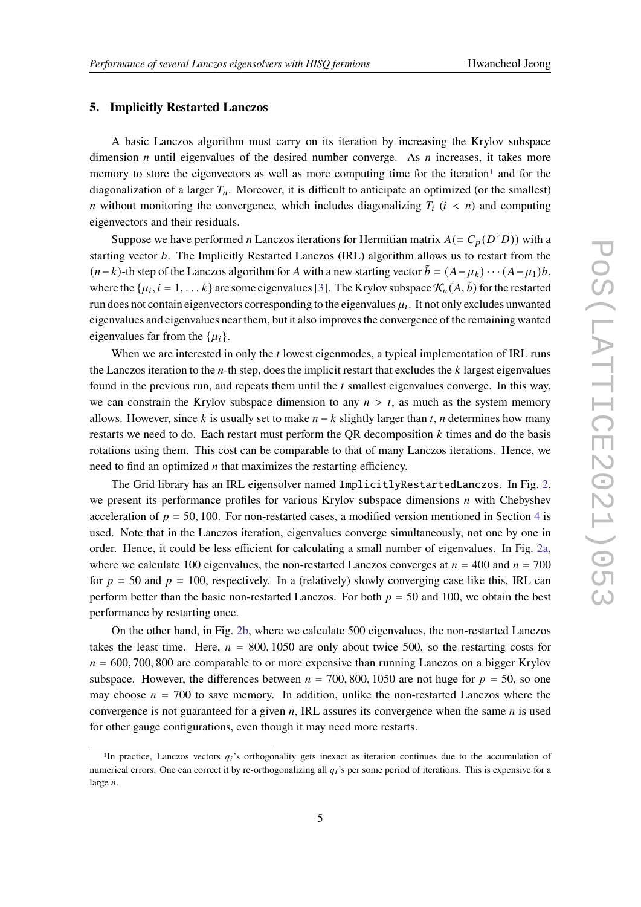# <span id="page-4-0"></span>**5. Implicitly Restarted Lanczos**

A basic Lanczos algorithm must carry on its iteration by increasing the Krylov subspace dimension *n* until eigenvalues of the desired number converge. As *n* increases, it takes more memory to store the eigenvectors as well as more computing time for the iteration<sup>[1](#page-4-1)</sup> and for the diagonalization of a larger  $T_n$ . Moreover, it is difficult to anticipate an optimized (or the smallest) *n* without monitoring the convergence, which includes diagonalizing  $T_i$  ( $i < n$ ) and computing eigenvectors and their residuals.

Suppose we have performed *n* Lanczos iterations for Hermitian matrix  $A (= C_p(D^{\dagger}D))$  with a starting vector  $b$ . The Implicitly Restarted Lanczos (IRL) algorithm allows us to restart from the  $(n-k)$ -th step of the Lanczos algorithm for A with a new starting vector  $\tilde{b} = (A - \mu_k) \cdots (A - \mu_1) b$ , where the  $\{\mu_i, i = 1, \dots k\}$  are some eigenvalues [\[3\]](#page-8-2). The Krylov subspace  $\mathcal{K}_n(A, \tilde{b})$  for the restarted run does not contain eigenvectors corresponding to the eigenvalues  $\mu_i$ . It not only excludes unwanted eigenvalues and eigenvalues near them, but it also improves the convergence of the remaining wanted eigenvalues far from the  $\{\mu_i\}.$ 

When we are interested in only the  $t$  lowest eigenmodes, a typical implementation of IRL runs the Lanczos iteration to the  $n$ -th step, does the implicit restart that excludes the  $k$  largest eigenvalues found in the previous run, and repeats them until the  $t$  smallest eigenvalues converge. In this way, we can constrain the Krylov subspace dimension to any  $n > t$ , as much as the system memory allows. However, since k is usually set to make  $n - k$  slightly larger than t, n determines how many restarts we need to do. Each restart must perform the QR decomposition  $k$  times and do the basis rotations using them. This cost can be comparable to that of many Lanczos iterations. Hence, we need to find an optimized  $n$  that maximizes the restarting efficiency.

The Grid library has an IRL eigensolver named ImplicitlyRestartedLanczos. In Fig. [2,](#page-5-1) we present its performance profiles for various Krylov subspace dimensions  $n$  with Chebyshev acceleration of  $p = 50, 100$ . For non-restarted cases, a modified version mentioned in Section [4](#page-2-1) is used. Note that in the Lanczos iteration, eigenvalues converge simultaneously, not one by one in order. Hence, it could be less efficient for calculating a small number of eigenvalues. In Fig. [2a,](#page-5-1) where we calculate 100 eigenvalues, the non-restarted Lanczos converges at  $n = 400$  and  $n = 700$ for  $p = 50$  and  $p = 100$ , respectively. In a (relatively) slowly converging case like this, IRL can perform better than the basic non-restarted Lanczos. For both  $p = 50$  and 100, we obtain the best performance by restarting once.

On the other hand, in Fig. [2b,](#page-5-1) where we calculate 500 eigenvalues, the non-restarted Lanczos takes the least time. Here,  $n = 800, 1050$  are only about twice 500, so the restarting costs for  $n = 600, 700, 800$  are comparable to or more expensive than running Lanczos on a bigger Krylov subspace. However, the differences between  $n = 700,800,1050$  are not huge for  $p = 50$ , so one may choose  $n = 700$  to save memory. In addition, unlike the non-restarted Lanczos where the convergence is not guaranteed for a given  $n$ , IRL assures its convergence when the same  $n$  is used for other gauge configurations, even though it may need more restarts.

<span id="page-4-1"></span><sup>&</sup>lt;sup>1</sup>In practice, Lanczos vectors  $q_i$ 's orthogonality gets inexact as iteration continues due to the accumulation of numerical errors. One can correct it by re-orthogonalizing all  $q_i$ 's per some period of iterations. This is expensive for a large  $n$ .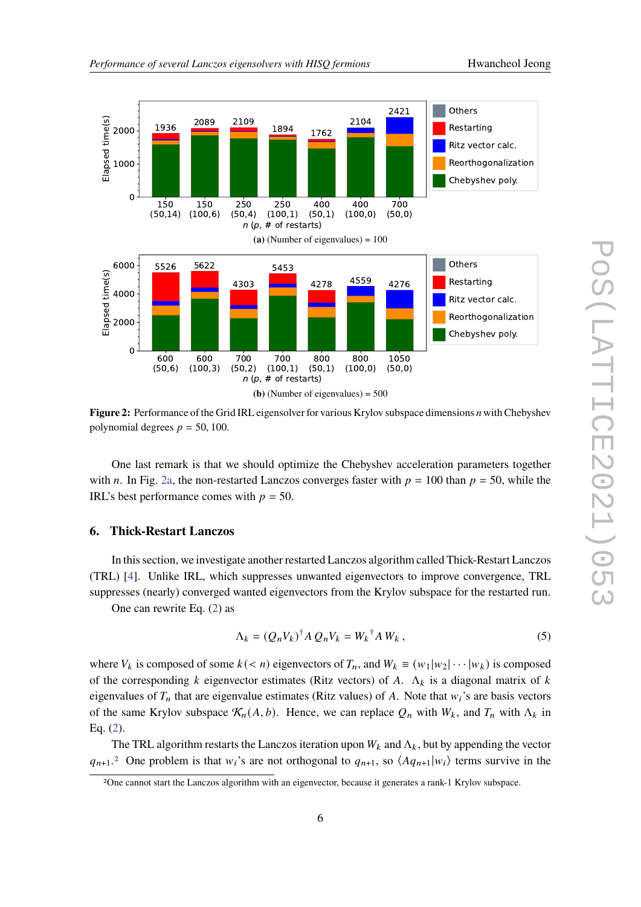<span id="page-5-1"></span>

**Figure 2:** Performance of the Grid IRL eigensolver for various Krylov subspace dimensions *n* with Chebyshev polynomial degrees  $p = 50, 100$ .

One last remark is that we should optimize the Chebyshev acceleration parameters together with n. In Fig. [2a,](#page-5-1) the non-restarted Lanczos converges faster with  $p = 100$  than  $p = 50$ , while the IRL's best performance comes with  $p = 50$ .

#### <span id="page-5-0"></span>**6. Thick-Restart Lanczos**

In this section, we investigate another restarted Lanczos algorithm called Thick-Restart Lanczos (TRL) [\[4\]](#page-8-3). Unlike IRL, which suppresses unwanted eigenvectors to improve convergence, TRL suppresses (nearly) converged wanted eigenvectors from the Krylov subspace for the restarted run.

One can rewrite Eq. [\(2\)](#page-2-4) as

$$
\Lambda_k = (Q_n V_k)^{\dagger} A Q_n V_k = W_k^{\dagger} A W_k, \qquad (5)
$$

where  $V_k$  is composed of some  $k \le n$ ) eigenvectors of  $T_n$ , and  $W_k \equiv (w_1|w_2|\cdots|w_k)$  is composed of the corresponding k eigenvector estimates (Ritz vectors) of A.  $\Lambda_k$  is a diagonal matrix of k eigenvalues of  $T_n$  that are eigenvalue estimates (Ritz values) of A. Note that  $w_i$ 's are basis vectors of the same Krylov subspace  $\mathcal{K}_n(A, b)$ . Hence, we can replace  $Q_n$  with  $W_k$ , and  $T_n$  with  $\Lambda_k$  in Eq. [\(2\)](#page-2-4).

The TRL algorithm restarts the Lanczos iteration upon  $W_k$  and  $\Lambda_k$ , but by appending the vector  $q_{n+1}$ <sup>[2](#page-5-2)</sup> One problem is that  $w_i$ 's are not orthogonal to  $q_{n+1}$ , so  $\langle Aq_{n+1}|w_i \rangle$  terms survive in the

<span id="page-5-2"></span><sup>2</sup>One cannot start the Lanczos algorithm with an eigenvector, because it generates a rank-1 Krylov subspace.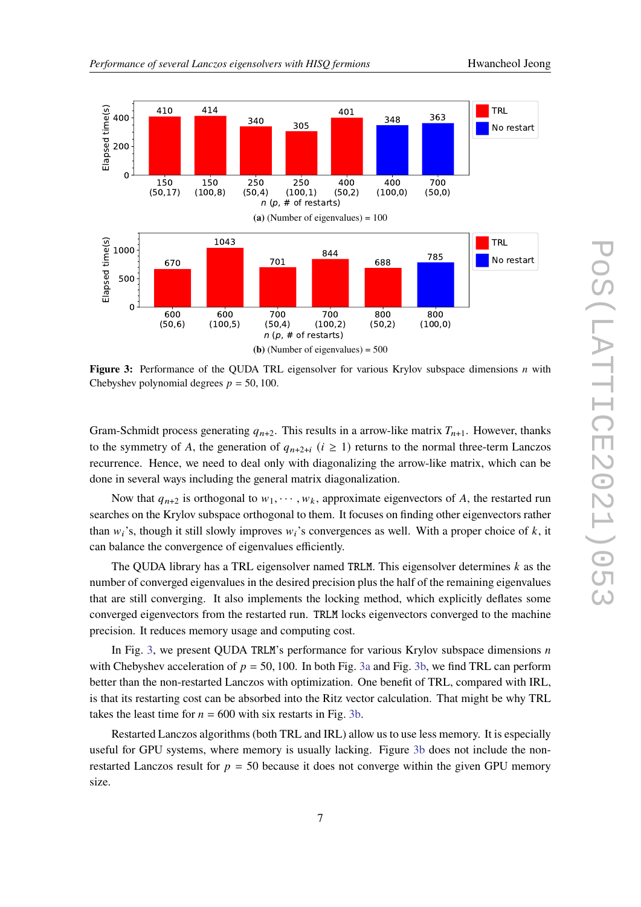<span id="page-6-0"></span>

**Figure 3:** Performance of the QUDA TRL eigensolver for various Krylov subspace dimensions *n* with Chebyshev polynomial degrees  $p = 50, 100$ .

Gram-Schmidt process generating  $q_{n+2}$ . This results in a arrow-like matrix  $T_{n+1}$ . However, thanks to the symmetry of A, the generation of  $q_{n+2+i}$  ( $i \ge 1$ ) returns to the normal three-term Lanczos recurrence. Hence, we need to deal only with diagonalizing the arrow-like matrix, which can be done in several ways including the general matrix diagonalization.

Now that  $q_{n+2}$  is orthogonal to  $w_1, \dots, w_k$ , approximate eigenvectors of A, the restarted run searches on the Krylov subspace orthogonal to them. It focuses on finding other eigenvectors rather than  $w_i$ 's, though it still slowly improves  $w_i$ 's convergences as well. With a proper choice of k, it can balance the convergence of eigenvalues efficiently.

The QUDA library has a TRL eigensolver named TRLM. This eigensolver determines  $k$  as the number of converged eigenvalues in the desired precision plus the half of the remaining eigenvalues that are still converging. It also implements the locking method, which explicitly deflates some converged eigenvectors from the restarted run. TRLM locks eigenvectors converged to the machine precision. It reduces memory usage and computing cost.

In Fig. [3,](#page-6-0) we present QUDA TRLM's performance for various Krylov subspace dimensions  $n$ with Chebyshev acceleration of  $p = 50, 100$ . In both Fig. [3a](#page-6-0) and Fig. [3b,](#page-6-0) we find TRL can perform better than the non-restarted Lanczos with optimization. One benefit of TRL, compared with IRL, is that its restarting cost can be absorbed into the Ritz vector calculation. That might be why TRL takes the least time for  $n = 600$  with six restarts in Fig. [3b.](#page-6-0)

Restarted Lanczos algorithms (both TRL and IRL) allow us to use less memory. It is especially useful for GPU systems, where memory is usually lacking. Figure [3b](#page-6-0) does not include the nonrestarted Lanczos result for  $p = 50$  because it does not converge within the given GPU memory size.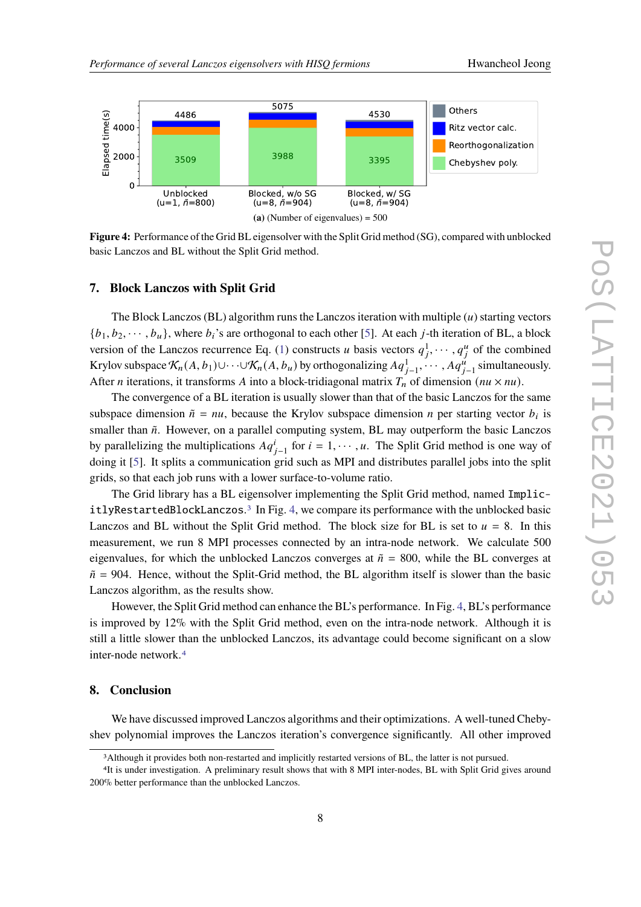<span id="page-7-3"></span>

**Figure 4:** Performance of the Grid BL eigensolver with the Split Grid method (SG), compared with unblocked basic Lanczos and BL without the Split Grid method.

# <span id="page-7-0"></span>**7. Block Lanczos with Split Grid**

The Block Lanczos (BL) algorithm runs the Lanczos iteration with multiple  $(u)$  starting vectors  ${b_1, b_2, \dots, b_u}$ , where  $b_i$ 's are orthogonal to each other [\[5\]](#page-8-4). At each j-th iteration of BL, a block version of the Lanczos recurrence Eq. [\(1\)](#page-2-2) constructs *u* basis vectors  $q_1^1, \dots, q_i^u$  of the combined Krylov subspace  $\mathcal{K}_n(A, b_1) \cup \cdots \cup \mathcal{K}_n(A, b_u)$  by orthogonalizing  $Aq_{j-1}^1, \cdots, Aq_{j-1}^u$  simultaneously. After *n* iterations, it transforms *A* into a block-tridiagonal matrix  $T_n$  of dimension ( $nu \times nu$ ).

The convergence of a BL iteration is usually slower than that of the basic Lanczos for the same subspace dimension  $\tilde{n} = nu$ , because the Krylov subspace dimension *n* per starting vector  $b_i$  is smaller than  $\tilde{n}$ . However, on a parallel computing system, BL may outperform the basic Lanczos by parallelizing the multiplications  $Aq_{j-1}^i$  for  $i = 1, \dots, u$ . The Split Grid method is one way of doing it [\[5\]](#page-8-4). It splits a communication grid such as MPI and distributes parallel jobs into the split grids, so that each job runs with a lower surface-to-volume ratio.

The Grid library has a BL eigensolver implementing the Split Grid method, named Implic- $itlyRestarded LockLanczos.<sup>3</sup>$  $itlyRestarded LockLanczos.<sup>3</sup>$  $itlyRestarded LockLanczos.<sup>3</sup>$  In Fig. [4,](#page-7-3) we compare its performance with the unblocked basic Lanczos and BL without the Split Grid method. The block size for BL is set to  $u = 8$ . In this measurement, we run 8 MPI processes connected by an intra-node network. We calculate 500 eigenvalues, for which the unblocked Lanczos converges at  $\tilde{n} = 800$ , while the BL converges at  $\tilde{n}$  = 904. Hence, without the Split-Grid method, the BL algorithm itself is slower than the basic Lanczos algorithm, as the results show.

However, the Split Grid method can enhance the BL's performance. In Fig. [4,](#page-7-3) BL's performance is improved by 12% with the Split Grid method, even on the intra-node network. Although it is still a little slower than the unblocked Lanczos, its advantage could become significant on a slow inter-node network.[4](#page-7-4)

# <span id="page-7-1"></span>**8. Conclusion**

We have discussed improved Lanczos algorithms and their optimizations. A well-tuned Chebyshev polynomial improves the Lanczos iteration's convergence significantly. All other improved

<span id="page-7-4"></span><span id="page-7-2"></span><sup>3</sup>Although it provides both non-restarted and implicitly restarted versions of BL, the latter is not pursued.

<sup>4</sup>It is under investigation. A preliminary result shows that with 8 MPI inter-nodes, BL with Split Grid gives around 200% better performance than the unblocked Lanczos.